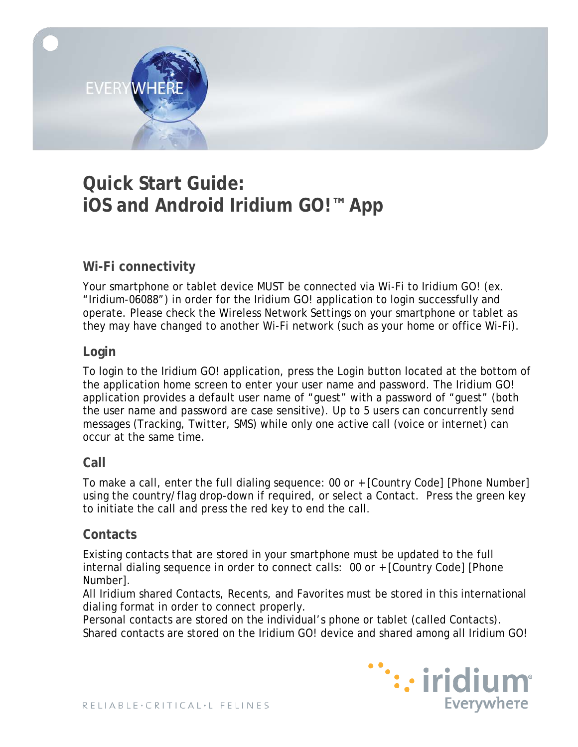

# **Quick Start Guide: iOS and Android Iridium GO!™ App**

# **Wi-Fi connectivity**

Your smartphone or tablet device MUST be connected via Wi-Fi to Iridium GO! (ex. "Iridium-06088") in order for the Iridium GO! application to login successfully and operate. Please check the Wireless Network Settings on your smartphone or tablet as they may have changed to another Wi-Fi network (such as your home or office Wi-Fi).

#### **Login**

To login to the Iridium GO! application, press the Login button located at the bottom of the application home screen to enter your user name and password. The Iridium GO! application provides a default user name of "guest" with a password of "guest" (both the user name and password are case sensitive). Up to 5 users can concurrently send messages (Tracking, Twitter, SMS) while only one active call (voice or internet) can occur at the same time.

## **Call**

To make a call, enter the full dialing sequence: 00 or + [Country Code] [Phone Number] using the country/flag drop-down if required, or select a Contact. Press the green key to initiate the call and press the red key to end the call.

#### **Contacts**

Existing contacts that are stored in your smartphone must be updated to the full internal dialing sequence in order to connect calls: 00 or + [Country Code] [Phone Number].

All Iridium shared Contacts, Recents, and Favorites must be stored in this international dialing format in order to connect properly.

Personal contacts are stored on the individual's phone or tablet (called Contacts). Shared contacts are stored on the Iridium GO! device and shared among all Iridium GO!

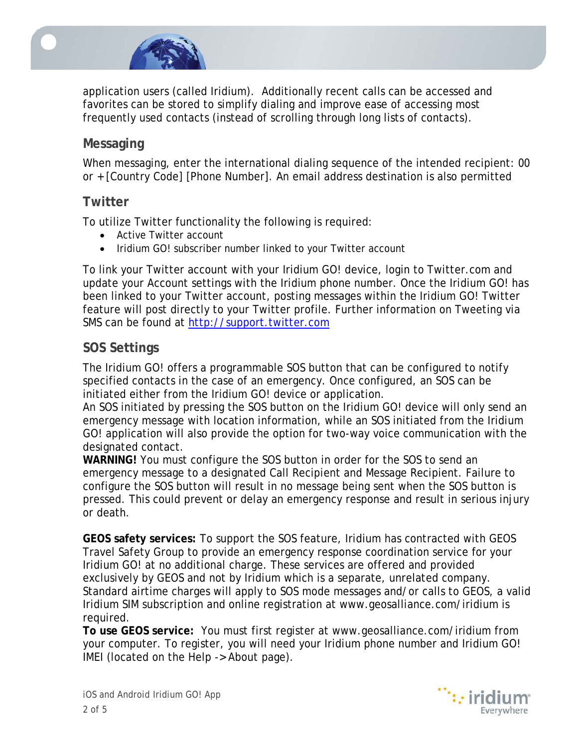

application users (called Iridium). Additionally recent calls can be accessed and favorites can be stored to simplify dialing and improve ease of accessing most frequently used contacts (instead of scrolling through long lists of contacts).

# **Messaging**

When messaging, enter the international dialing sequence of the intended recipient: 00 or + [Country Code] [Phone Number]. An email address destination is also permitted

#### **Twitter**

To utilize Twitter functionality the following is required:

- Active Twitter account
- Iridium GO! subscriber number linked to your Twitter account

To link your Twitter account with your Iridium GO! device, login to Twitter.com and update your Account settings with the Iridium phone number. Once the Iridium GO! has been linked to your Twitter account, posting messages within the Iridium GO! Twitter feature will post directly to your Twitter profile. Further information on Tweeting via SMS can be found at [http://support.twitter.com](http://support.twitter.com/)

#### **SOS Settings**

The Iridium GO! offers a programmable SOS button that can be configured to notify specified contacts in the case of an emergency. Once configured, an SOS can be initiated either from the Iridium GO! device or application.

An SOS initiated by pressing the SOS button on the Iridium GO! device will only send an emergency message with location information, while an SOS initiated from the Iridium GO! application will also provide the option for two-way voice communication with the designated contact.

**WARNING!** You must configure the SOS button in order for the SOS to send an emergency message to a designated Call Recipient and Message Recipient. Failure to configure the SOS button will result in no message being sent when the SOS button is pressed. This could prevent or delay an emergency response and result in serious injury or death.

**GEOS safety services:** To support the SOS feature, Iridium has contracted with GEOS Travel Safety Group to provide an emergency response coordination service for your Iridium GO! at no additional charge. These services are offered and provided exclusively by GEOS and not by Iridium which is a separate, unrelated company. Standard airtime charges will apply to SOS mode messages and/or calls to GEOS, a valid Iridium SIM subscription and online registration at www.geosalliance.com/iridium is required.

**To use GEOS service:** You must first register at www.geosalliance.com/iridium from your computer. To register, you will need your Iridium phone number and Iridium GO! IMEI (located on the Help -> About page).



iOS and Android Iridium GO! App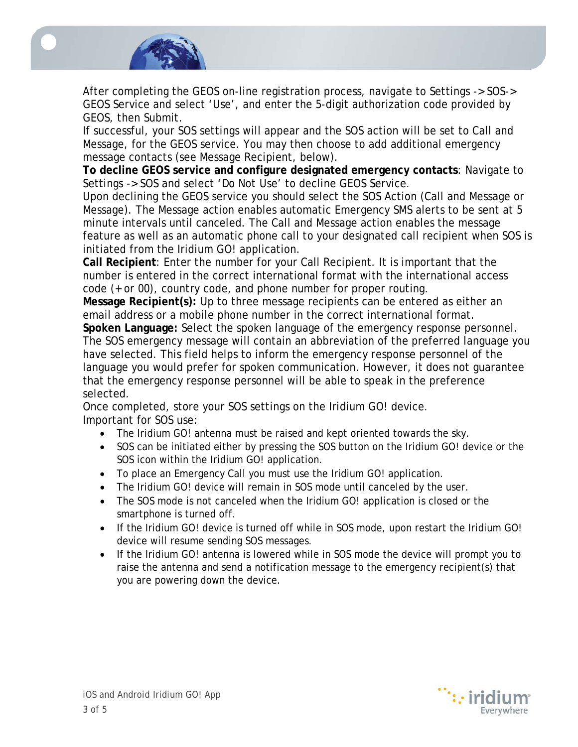

After completing the GEOS on-line registration process, navigate to Settings -> SOS-> GEOS Service and select 'Use', and enter the 5-digit authorization code provided by GEOS, then Submit.

If successful, your SOS settings will appear and the SOS action will be set to Call and Message, for the GEOS service. You may then choose to add additional emergency message contacts (see Message Recipient, below).

**To decline GEOS service and configure designated emergency contacts**: Navigate to Settings -> SOS and select 'Do Not Use' to decline GEOS Service.

Upon declining the GEOS service you should select the SOS Action (Call and Message or Message). The Message action enables automatic Emergency SMS alerts to be sent at 5 minute intervals until canceled. The Call and Message action enables the message feature as well as an automatic phone call to your designated call recipient when SOS is initiated from the Iridium GO! application.

**Call Recipient**: Enter the number for your Call Recipient. It is important that the number is entered in the correct international format with the international access code (+ or 00), country code, and phone number for proper routing.

**Message Recipient(s):** Up to three message recipients can be entered as either an email address or a mobile phone number in the correct international format.

**Spoken Language:** Select the spoken language of the emergency response personnel. The SOS emergency message will contain an abbreviation of the preferred language you have selected. This field helps to inform the emergency response personnel of the language you would prefer for spoken communication. However, it does not guarantee that the emergency response personnel will be able to speak in the preference selected.

Once completed, store your SOS settings on the Iridium GO! device. Important for SOS use:

- The Iridium GO! antenna must be raised and kept oriented towards the sky.
- SOS can be initiated either by pressing the SOS button on the Iridium GO! device or the SOS icon within the Iridium GO! application.
- To place an Emergency Call you must use the Iridium GO! application.
- The Iridium GO! device will remain in SOS mode until canceled by the user.
- The SOS mode is not canceled when the Iridium GO! application is closed or the smartphone is turned off.
- If the Iridium GO! device is turned off while in SOS mode, upon restart the Iridium GO! device will resume sending SOS messages.
- If the Iridium GO! antenna is lowered while in SOS mode the device will prompt you to raise the antenna and send a notification message to the emergency recipient(s) that you are powering down the device.

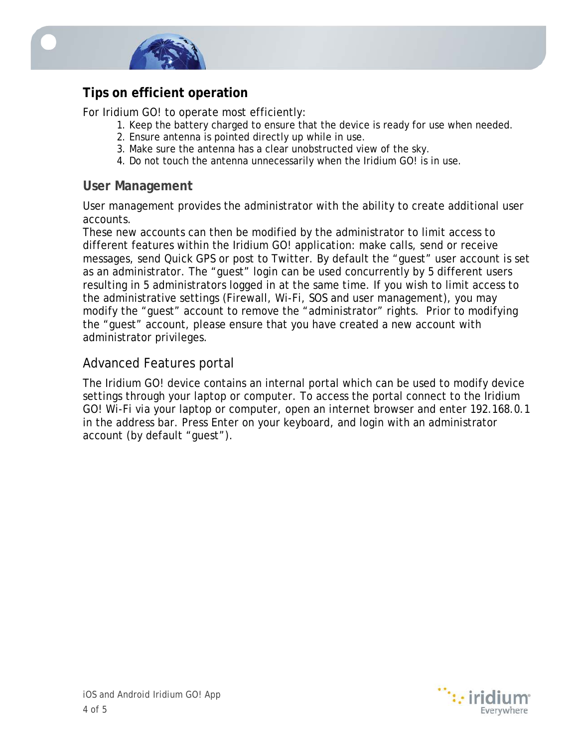

# **Tips on efficient operation**

For Iridium GO! to operate most efficiently:

- 1. Keep the battery charged to ensure that the device is ready for use when needed.
- 2. Ensure antenna is pointed directly up while in use.
- 3. Make sure the antenna has a clear unobstructed view of the sky.
- 4. Do not touch the antenna unnecessarily when the Iridium GO! is in use.

#### **User Management**

User management provides the administrator with the ability to create additional user accounts.

These new accounts can then be modified by the administrator to limit access to different features within the Iridium GO! application: make calls, send or receive messages, send Quick GPS or post to Twitter. By default the "guest" user account is set as an administrator. The "guest" login can be used concurrently by 5 different users resulting in 5 administrators logged in at the same time. If you wish to limit access to the administrative settings (Firewall, Wi-Fi, SOS and user management), you may modify the "guest" account to remove the "administrator" rights. Prior to modifying the "guest" account, please ensure that you have created a new account with administrator privileges.

## Advanced Features portal

The Iridium GO! device contains an internal portal which can be used to modify device settings through your laptop or computer. To access the portal connect to the Iridium GO! Wi-Fi via your laptop or computer, open an internet browser and enter 192.168.0.1 in the address bar. Press Enter on your keyboard, and login with an administrator account (by default "guest").